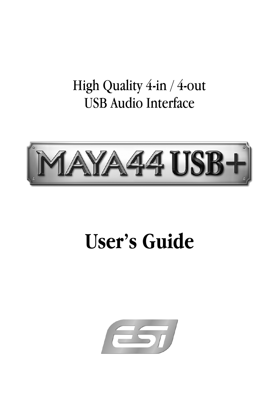## High Quality 4-in / 4-out USB Audio Interface



# **User's Guide**

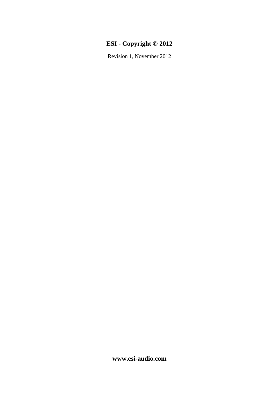### **ESI - Copyright © 2012**

Revision 1, November 2012

**www.esi-audio.com**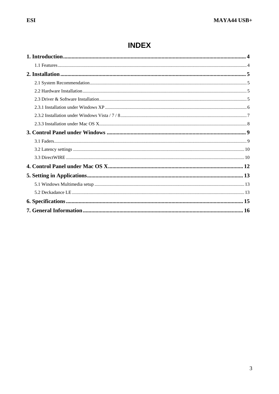### **INDEX**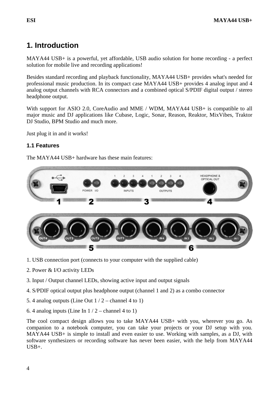### **1. Introduction**

MAYA44 USB+ is a powerful, yet affordable, USB audio solution for home recording - a perfect solution for mobile live and recording applications!

Besides standard recording and playback functionality, MAYA44 USB+ provides what's needed for professional music production. In its compact case MAYA44 USB+ provides 4 analog input and 4 analog output channels with RCA connectors and a combined optical S/PDIF digital output / stereo headphone output.

With support for ASIO 2.0, CoreAudio and MME / WDM, MAYA44 USB+ is compatible to all major music and DJ applications like Cubase, Logic, Sonar, Reason, Reaktor, MixVibes, Traktor DJ Studio, BPM Studio and much more.

Just plug it in and it works!

### **1.1 Features**

The MAYA44 USB+ hardware has these main features:



- 1. USB connection port (connects to your computer with the supplied cable)
- 2. Power & I/O activity LEDs
- 3. Input / Output channel LEDs, showing active input and output signals
- 4. S/PDIF optical output plus headphone output (channel 1 and 2) as a combo connector
- 5. 4 analog outputs (Line Out  $1/2$  channel 4 to 1)
- 6. 4 analog inputs (Line In  $1/2$  channel 4 to 1)

The cool compact design allows you to take MAYA44 USB+ with you, wherever you go. As companion to a notebook computer, you can take your projects or your DJ setup with you. MAYA44 USB+ is simple to install and even easier to use. Working with samples, as a DJ, with software synthesizers or recording software has never been easier, with the help from MAYA44  $IISB+$ .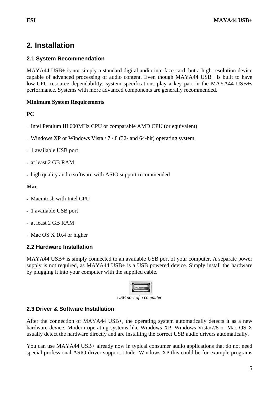### **2. Installation**

### **2.1 System Recommendation**

MAYA44 USB+ is not simply a standard digital audio interface card, but a high-resolution device capable of advanced processing of audio content. Even though MAYA44 USB+ is built to have low-CPU resource dependability, system specifications play a key part in the MAYA44 USB+s performance. Systems with more advanced components are generally recommended.

### **Minimum System Requirements**

### **PC**

- Intel Pentium III 600MHz CPU or comparable AMD CPU (or equivalent)
- Windows XP or Windows Vista / 7 / 8 (32- and 64-bit) operating system
- 1 available USB port
- at least 2 GB RAM
- high quality audio software with ASIO support recommended

### **Mac**

- Macintosh with Intel CPU
- 1 available USB port
- at least 2 GB RAM
- Mac OS X 10.4 or higher

### **2.2 Hardware Installation**

MAYA44 USB+ is simply connected to an available USB port of your computer. A separate power supply is not required, as MAYA44 USB+ is a USB powered device. Simply install the hardware by plugging it into your computer with the supplied cable.



*USB port of a computer* 

### **2.3 Driver & Software Installation**

After the connection of MAYA44 USB+, the operating system automatically detects it as a new hardware device. Modern operating systems like Windows XP, Windows Vista/7/8 or Mac OS X usually detect the hardware directly and are installing the correct USB audio drivers automatically.

You can use MAYA44 USB+ already now in typical consumer audio applications that do not need special professional ASIO driver support. Under Windows XP this could be for example programs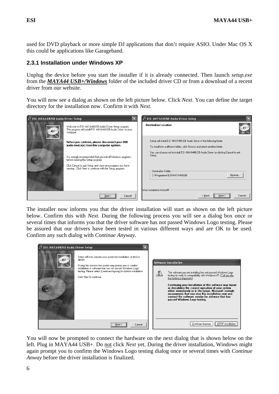used for DVD playback or more simple DJ applications that don't require ASIO. Under Mac OS X this could be applications like Garageband.

### **2.3.1 Installation under Windows XP**

Unplug the device before you start the installer if it is already connected. Then launch *setup.exe* from the *MAYA44 USB+/Windows* folder of the included driver CD or from a download of a recent driver from our website.

You will now see a dialog as shown on the left picture below. Click *Next*. You can define the target directory for the installation now. Confirm it with *Next*.

| 景 ESI- MAYA44USB Audio Driver Setup |                                                                                                                                                                                                                              | 景 ESI- MAYA44USB Audio Driver Setup                                                                                                                   |
|-------------------------------------|------------------------------------------------------------------------------------------------------------------------------------------------------------------------------------------------------------------------------|-------------------------------------------------------------------------------------------------------------------------------------------------------|
| ⊷                                   | Welcome to ESI-MAYA44USB Audio Driver Setup program.<br>This program will install ESI- MAYA44USB Audio Driver on your<br>computer.                                                                                           | <b>Destination Location</b>                                                                                                                           |
|                                     | Before you continue, please disconnect your USB<br>audio device(s) from this computer system.                                                                                                                                | Setup will install ESI-MAYA44USB Audio Driver in the following folder.<br>To install into a different folder, click Browse and select another folder. |
|                                     | It is strongly recommended that you exit all Windows programs<br>before running this Setup program.<br>Click Cancel to quit Setup and close any programs you have<br>running. Click Next to continue with the Setup program. | You can choose not to install ESI-MAYA44USB Audio Driver by clicking Cancel to exit<br>Setup.                                                         |
|                                     |                                                                                                                                                                                                                              | <b>Destination Eolder</b>                                                                                                                             |
|                                     |                                                                                                                                                                                                                              | Browse<br>C:\Programme\ESI\MAYA44USB<br>Wise Installation Wizard®                                                                                     |
|                                     | Cancel<br>Next                                                                                                                                                                                                               | Next<br>Cancel<br>< Back                                                                                                                              |

The installer now informs you that the driver installation will start as shown on the left picture below. Confirm this with *Next*. During the following process you will see a dialog box once or several times that informs you that the driver software has not passed Windows Logo testing. Please be assured that our drivers have been tested in various different ways and are OK to be used. Confirm any such dialog with *Continue Anyway*.

| 是 ESI-MAYA44USB Audio Driver Setup |                                                                                                                                                                                                                                                                                                    |                     |                                                                                                                                                                                                                                                                                                                                                                                                                                                                                                                          |
|------------------------------------|----------------------------------------------------------------------------------------------------------------------------------------------------------------------------------------------------------------------------------------------------------------------------------------------------|---------------------|--------------------------------------------------------------------------------------------------------------------------------------------------------------------------------------------------------------------------------------------------------------------------------------------------------------------------------------------------------------------------------------------------------------------------------------------------------------------------------------------------------------------------|
|                                    | Setup will now prepare your system for installation of device<br>drivers.<br>During this process the system may prompt you to confirm<br>installation of software that has not passed Windows Logo<br>testing. Please select [Continue Anyway] to confirm installation.<br>Click Next to continue. | $\ddot{\mathbf{r}}$ | <b>Software Installation</b><br>The software you are installing has not passed Windows Logo<br>testing to verify its compatibility with Windows XP. [Tell me why<br>this testing is important.)<br>Continuing your installation of this software may impair<br>or destabilize the correct operation of your system<br>either immediately or in the future. Microsoft strongly<br>recommends that you stop this installation now and<br>contact the software vendor for software that has<br>passed Windows Logo testing. |
|                                    | Cancel<br>Next >                                                                                                                                                                                                                                                                                   |                     | STOP Installation<br>Continue Anyway                                                                                                                                                                                                                                                                                                                                                                                                                                                                                     |

You will now be prompted to connect the hardware on the next dialog that is shown below on the left. Plug in MAYA44 USB+. Do not click *Next* yet. During the driver installation, Windows might again prompt you to confirm the Windows Logo testing dialog once or several times with *Continue Anway* before the driver installation is finalized.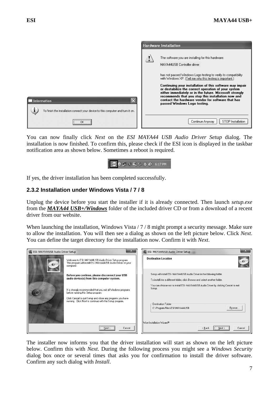|                                                                                                | <b>Hardware Installation</b> |                                                                                                                                                                                                                                                                                                                       |  |
|------------------------------------------------------------------------------------------------|------------------------------|-----------------------------------------------------------------------------------------------------------------------------------------------------------------------------------------------------------------------------------------------------------------------------------------------------------------------|--|
|                                                                                                |                              | The software you are installing for this hardware:<br>MAYA44USB Controller driver                                                                                                                                                                                                                                     |  |
|                                                                                                |                              | has not passed Windows Logo testing to verify its compatibility<br>with Windows XP. (Tell me why this testing is important.)                                                                                                                                                                                          |  |
| Information<br>To finish the installation connect your device to this computer and turn it on. |                              | Continuing your installation of this software may impair<br>or destabilize the correct operation of your system<br>either immediately or in the future. Microsoft strongly<br>recommends that you stop this installation now and<br>contact the hardware vendor for software that has<br>passed Windows Logo testing. |  |
| <br>ОК<br>                                                                                     |                              | STOP Installation<br>Continue Anyway                                                                                                                                                                                                                                                                                  |  |

You can now finally click *Next* on the *ESI MAYA44 USB Audio Driver Setup* dialog. The installation is now finished. To confirm this, please check if the ESI icon is displayed in the taskbar notification area as shown below. Sometimes a reboot is required.



If yes, the driver installation has been completed successfully.

### **2.3.2 Installation under Windows Vista / 7 / 8**

Unplug the device before you start the installer if it is already connected. Then launch *setup.exe* from the *MAYA44 USB+/Windows* folder of the included driver CD or from a download of a recent driver from our website.

When launching the installation, Windows Vista / 7 / 8 might prompt a security message. Make sure to allow the installation. You will then see a dialog as shown on the left picture below. Click *Next*. You can define the target directory for the installation now. Confirm it with *Next*.

| 图 ESI- MAYA44USB Audio Driver Setup | P.S                                                                                                                                                                                                                                                                                                                           | $\mathbf{X}$<br>ESI- MAYA44USB Audio Driver Setup                                                                                                                                                                                                                                                                          |
|-------------------------------------|-------------------------------------------------------------------------------------------------------------------------------------------------------------------------------------------------------------------------------------------------------------------------------------------------------------------------------|----------------------------------------------------------------------------------------------------------------------------------------------------------------------------------------------------------------------------------------------------------------------------------------------------------------------------|
|                                     | Welcome to ESI-MAYA44USB Audio Driver Setup program.<br>This program will install ESI- MAYA44USB Audio Driver on your<br>computer.                                                                                                                                                                                            | <b>Destination Location</b>                                                                                                                                                                                                                                                                                                |
|                                     | Before you continue, please disconnect your USB<br>audio device(s) from this computer system.<br>It is strongly recommended that you exit all Windows programs<br>before running this Setup program.<br>Click Cancel to quit Setup and close any programs you have<br>running. Click Next to continue with the Setup program. | Setup will install ESI-MAYA44USB Audio Driver in the following folder.<br>To install into a different folder, click Browse and select another folder.<br>You can choose not to install ESI-MAYA44USB Audio Driver by clicking Cancel to exit<br>Setup.<br>- Destination Eolder<br>Browse<br>C:\Program Files\ESI\MAYA44USB |
|                                     | Cancel<br>Next                                                                                                                                                                                                                                                                                                                | Wise Installation Wizard®<br>Cancel<br>< Back<br>$N$ ext >                                                                                                                                                                                                                                                                 |

The installer now informs you that the driver installation will start as shown on the left picture below. Confirm this with *Next*. During the following process you might see a *Windows Security* dialog box once or several times that asks you for confirmation to install the driver software. Confirm any such dialog with *Install*.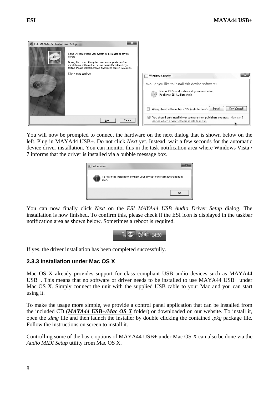

You will now be prompted to connect the hardware on the next dialog that is shown below on the left. Plug in MAYA44 USB+. Do not click *Next* yet. Instead, wait a few seconds for the automatic device driver installation. You can monitor this in the task notification area where Windows Vista / 7 informs that the driver is installed via a bubble message box.

| Information |                                                                                    |
|-------------|------------------------------------------------------------------------------------|
|             | To finish the installation connect your device to this computer and turn<br>it on. |
|             | OK                                                                                 |

You can now finally click *Next* on the *ESI MAYA44 USB Audio Driver Setup* dialog. The installation is now finished. To confirm this, please check if the ESI icon is displayed in the taskbar notification area as shown below. Sometimes a reboot is required.



If yes, the driver installation has been completed successfully.

### **2.3.3 Installation under Mac OS X**

Mac OS X already provides support for class compliant USB audio devices such as MAYA44 USB+. This means that no software or driver needs to be installed to use MAYA44 USB+ under Mac OS X. Simply connect the unit with the supplied USB cable to your Mac and you can start using it.

To make the usage more simple, we provide a control panel application that can be installed from the included CD (*MAYA44 USB+/Mac OS X* folder) or downloaded on our website. To install it, open the *.dmg* file and then launch the installer by double clicking the contained *.pkg* package file. Follow the instructions on screen to install it.

Controlling some of the basic options of MAYA44 USB+ under Mac OS X can also be done via the *Audio MIDI Setup* utility from Mac OS X.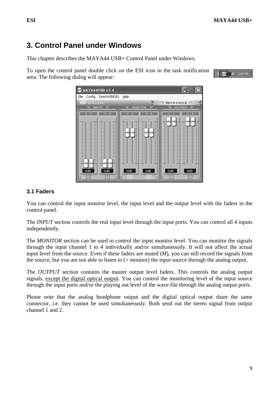### **3. Control Panel under Windows**

This chapter describes the MAYA44 USB+ Control Panel under Windows.

To open the control panel double click on the ESI icon in the task notification area. The following dialog will appear:





### **3.1 Faders**

You can control the input monitor level, the input level and the output level with the faders in the control panel.

The *INPUT* section controls the real input level through the input ports. You can control all 4 inputs independently.

The *MONITOR* section can be used to control the input monitor level. You can monitor the signals through the input channel 1 to 4 individually and/or simultaneously. It will not affect the actual input level from the source. Even if these faders are muted (*M*), you can still record the signals from the source, but you are not able to listen to (= monitor) the input source through the analog output.

The *OUTPUT* section contains the master output level faders. This controls the analog output signals, except the digital optical output. You can control the monitoring level of the input source through the input ports and/or the playing out level of the wave file through the analog output ports.

Please note that the analog headphone output and the digital optical output share the same connector, i.e. they cannot be used simultaneously. Both send out the stereo signal from output channel 1 and 2.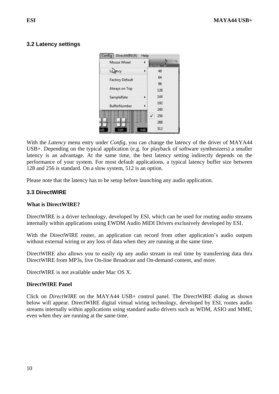### **3.2 Latency settings**

| Config | DirectWIRE(R)          | Help |   |     |       |
|--------|------------------------|------|---|-----|-------|
|        | Mouse Wheel            | ь    |   |     | '''!! |
|        | Lapncy                 | ь    |   | 48  |       |
|        | <b>Factory Default</b> |      |   | 64  |       |
|        |                        |      |   | 96  |       |
|        | Always on Top          |      |   | 128 |       |
|        | SampleRate             | Þ    |   | 144 |       |
|        | <b>BufferNumber</b>    | ь    |   | 192 |       |
|        |                        |      |   | 240 |       |
|        |                        |      | √ | 256 |       |
|        |                        |      |   | 288 |       |
| 0dB    | 0dB                    | 0dB  |   | 512 |       |

With the *Latency* menu entry under *Config*, you can change the latency of the driver of MAYA44 USB+. Depending on the typical application (e.g. for playback of software synthesizers) a smaller latency is an advantage. At the same time, the best latency setting indirectly depends on the performance of your system. For most default applications, a typical latency buffer size between 128 and 256 is standard. On a slow system, 512 is an option.

Please note that the latency has to be setup before launching any audio application.

### **3.3 DirectWIRE**

### **What is DirectWIRE?**

DirectWIRE is a driver technology, developed by ESI, which can be used for routing audio streams internally within applications using EWDM Audio MIDI Drivers exclusively developed by ESI.

With the DirectWIRE router, an application can record from other application's audio outputs without external wiring or any loss of data when they are running at the same time.

DirectWIRE also allows you to easily rip any audio stream in real time by transferring data thru DirectWIRE from MP3s, live On-line Broadcast and On-demand content, and more.

DirectWIRE is not available under Mac OS X.

### **DirectWIRE Panel**

Click on *DirectWIRE* on the MAYA44 USB+ control panel. The DirectWIRE dialog as shown below will appear. DirectWIRE digital virtual wiring technology, developed by ESI, routes audio streams internally within applications using standard audio drivers such as WDM, ASIO and MME, even when they are running at the same time.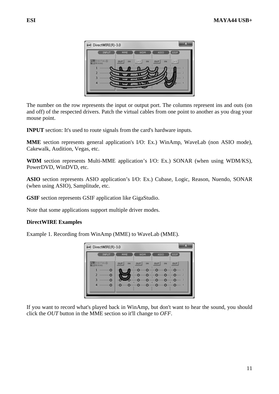

The number on the row represents the input or output port. The columns represent ins and outs (on and off) of the respected drivers. Patch the virtual cables from one point to another as you drag your mouse point.

**INPUT** section: It's used to route signals from the card's hardware inputs.

**MME** section represents general application's I/O: Ex.) WinAmp, WaveLab (non ASIO mode), Cakewalk, Audition, Vegas, etc.

**WDM** section represents Multi-MME application's I/O: Ex.) SONAR (when using WDM/KS), PowerDVD, WinDVD, etc.

**ASIO** section represents ASIO application's I/O: Ex.) Cubase, Logic, Reason, Nuendo, SONAR (when using ASIO), Samplitude, etc.

**GSIF** section represents GSIF application like GigaStudio.

Note that some applications support multiple driver modes.

### **DirectWIRE Examples**

Example 1. Recording from WinAmp (MME) to WaveLab (MME).



If you want to record what's played back in WinAmp, but don't want to hear the sound, you should click the *OUT* button in the MME section so it'll change to *OFF*.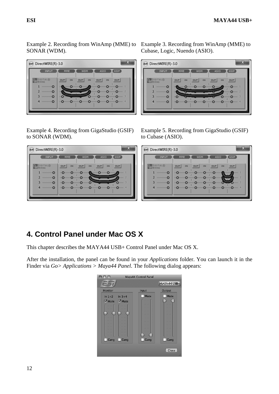Example 2. Recording from WinAmp (MME) to Example 3. Recording from WinAmp (MME) to SONAR (WDM).



Example 4. Recording from GigaStudio (GSIF) to SONAR (WDM).

#### $\overline{\mathbf{x}}$ DirectWIRE(R)-3.0 INPUT **MMF**  $GSTF$ **WDM ASTO DANIELE**  $our$ OUT IN  $\overline{1}N$  $\overline{M}$  $|ov|$  $our$ ۰o  $\mathbf{1}$ ۰o ۰o  $\circ$  $\circ$ ۰O  $\overline{2}$ ۰o ۰o ۰o  $\circ$  $\overline{3}$ ۰o ۰o ۰o o  $\circ$ ۰O o o Ō  $\circ$ ۰O ۰O

Cubase, Logic, Nuendo (ASIO).

| (R) DirectWIRE(R)-3.0     | х                                                                                           |
|---------------------------|---------------------------------------------------------------------------------------------|
| INPUT                     | <b>ASIO</b><br>GSIF<br>MME<br><b>WDM</b>                                                    |
| DIGITAL®<br><b>WIRING</b> | <b>OUT</b><br><b>OUT</b><br><b>OUT</b><br><b>OUT</b><br><b>IN</b><br><b>IN</b><br><b>IN</b> |
|                           | <b>Expression Opening 2</b><br><b>STREET</b><br>                                            |
|                           | $\bullet$ minimal $\bullet$ minimal $\bullet$ minimal $\bullet$                             |
| $\blacksquare$            | <b>InQuiringQuiringQuiringQuiringQuiringQuiringQuiringQuiringQuiring</b>                    |
|                           |                                                                                             |

Example 5. Recording from GigaStudio (GSIF) to Cubase (ASIO).

| DirectWIRE(R)-3.0                |                                                                                                                                                  |
|----------------------------------|--------------------------------------------------------------------------------------------------------------------------------------------------|
| INPUT                            | <b>ASIO</b><br>GSIF<br><b>WDM</b><br>MME                                                                                                         |
| <b>DIGITAL®</b><br><b>WIRING</b> | OUT<br>OUT<br>OUT<br><b>IN</b><br><b>OUT</b><br><b>IN</b><br><b>IN</b>                                                                           |
| 2                                | <b>In Ormanic Orientation Orientation Orientation</b><br>$mm-1$<br><br><b>In Original Original Original Original Original</b><br>$\cdots \cdots$ |
|                                  | <b>INCOMINANT CHARGE OF THE CONTRACTOR</b><br>$O(1000) = 5$                                                                                      |
| $\blacksquare$                   | <b>In Omnimi Omnimi Omnimi Omnimi Omnimi Omnimi Omnimi Omni 4</b>                                                                                |
|                                  |                                                                                                                                                  |

### **4. Control Panel under Mac OS X**

This chapter describes the MAYA44 USB+ Control Panel under Mac OS X.

After the installation, the panel can be found in your *Applications* folder. You can launch it in the Finder via *Go> Applications > Maya44 Panel*. The following dialog appears:

|                                          |      | Maya44 Control Panel |             |
|------------------------------------------|------|----------------------|-------------|
|                                          |      |                      | MAYA44 USB+ |
| <b>Monitor</b>                           |      | Input                | Output      |
| $\ln 1 + 2$ $\ln 3 + 4$<br>Ø Mute Ø Mute |      | Mute                 | Mute        |
| Gang                                     | Gang | Gang                 | Gang        |
|                                          |      |                      | Close       |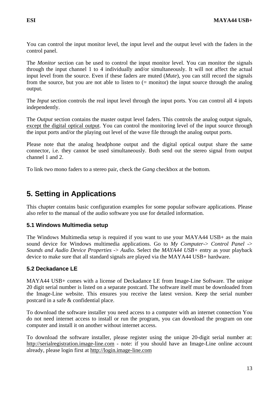The *Monitor* section can be used to control the input monitor level. You can monitor the signals through the input channel 1 to 4 individually and/or simultaneously. It will not affect the actual input level from the source. Even if these faders are muted (*Mute*), you can still record the signals from the source, but you are not able to listen to (= monitor) the input source through the analog output.

The *Input* section controls the real input level through the input ports. You can control all 4 inputs independently.

The *Output* section contains the master output level faders. This controls the analog output signals, except the digital optical output. You can control the monitoring level of the input source through the input ports and/or the playing out level of the wave file through the analog output ports.

Please note that the analog headphone output and the digital optical output share the same connector, i.e. they cannot be used simultaneously. Both send out the stereo signal from output channel 1 and 2.

To link two mono faders to a stereo pair, check the *Gang* checkbox at the bottom.

### **5. Setting in Applications**

This chapter contains basic configuration examples for some popular software applications. Please also refer to the manual of the audio software you use for detailed information.

### **5.1 Windows Multimedia setup**

The Windows Multimedia setup is required if you want to use your MAYA44 USB+ as the main sound device for Windows multimedia applications. Go to *My Computer*-> *Control Panel* -> *Sounds and Audio Device Properties* -> *Audio*. Select the *MAYA44 USB+* entry as your playback device to make sure that all standard signals are played via the MAYA44 USB+ hardware.

### **5.2 Deckadance LE**

MAYA44 USB+ comes with a license of Deckadance LE from Image-Line Software. The unique 20 digit serial number is listed on a separate postcard. The software itself must be downloaded from the Image-Line website. This ensures you receive the latest version. Keep the serial number postcard in a safe & confidential place.

To download the software installer you need access to a computer with an internet connection You do not need internet access to install or run the program, you can download the program on one computer and install it on another without internet access.

To download the software installer, please register using the unique 20-digit serial number at: http://serialregistration.image-line.com - note: if you should have an Image-Line online account already, please login first at http://login.image-line.com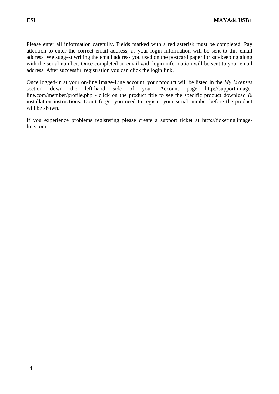Please enter all information carefully. Fields marked with a red asterisk must be completed. Pay attention to enter the correct email address, as your login information will be sent to this email address. We suggest writing the email address you used on the postcard paper for safekeeping along with the serial number. Once completed an email with login information will be sent to your email address. After successful registration you can click the login link.

Once logged-in at your on-line Image-Line account, your product will be listed in the *My Licenses* section down the left-hand side of your Account page http://support.imageline.com/member/profile.php - click on the product title to see the specific product download  $\&$ installation instructions. Don't forget you need to register your serial number before the product will be shown.

If you experience problems registering please create a support ticket at http://ticketing.imageline.com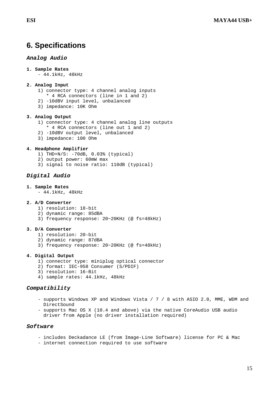### **6. Specifications**

### *Analog Audio*

```
1. Sample Rates
```
- 44.1kHz, 48kHz

#### **2. Analog Input**

- 1) connector type: 4 channel analog inputs
- \* 4 RCA connectors (line in 1 and 2)
- 2) -10dBV input level, unbalanced
- 3) impedance: 10K Ohm

#### **3. Analog Output**

- 1) connector type: 4 channel analog line outputs
- \* 4 RCA connectors (line out 1 and 2)
- 2) -10dBV output level, unbalanced
- 3) impedance: 100 Ohm

#### **4. Headphone Amplifier**

- 1) THD+N/S: -70dB, 0.03% (typical)
- 2) output power: 60mW max
- 3) signal to noise ratio: 110dB (typical)

### *Digital Audio*

#### **1. Sample Rates**

- 44.1kHz, 48kHz

#### **2. A/D Converter**

- 1) resolution: 18-bit
- 2) dynamic range: 85dBA
- 3) frequency response: 20~20KHz (@ fs=48kHz)

#### **3. D/A Converter**

- 1) resolution: 20-bit
- 2) dynamic range: 87dBA
- 3) frequency response: 20~20KHz (@ fs=48kHz)

#### **4. Digital Output**

- 1) connector type: miniplug optical connector
- 2) format: IEC-958 Consumer (S/PDIF)
- 3) resolution: 16-Bit
- 4) sample rates: 44.1kHz, 48kHz

#### *Compatibility*

- supports Windows XP and Windows Vista / 7 / 8 with ASIO 2.0, MME, WDM and DirectSound
- supports Mac OS X (10.4 and above) via the native CoreAudio USB audio driver from Apple (no driver installation required)

### *Software*

- includes Deckadance LE (from Image-Line Software) license for PC & Mac
- internet connection required to use software